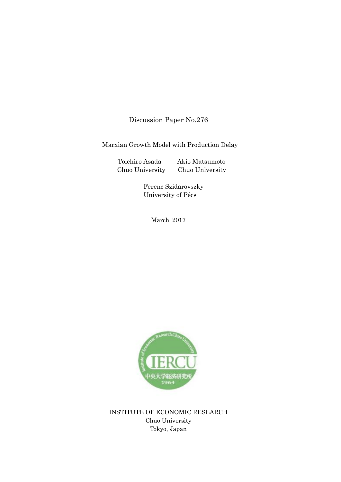Discussion Paper No.276

Marxian Growth Model with Production Delay

Toichiro Asada Akio Matsumoto Chuo University Chuo University

 Ferenc Szidarovszky University of Pécs

March 2017



INSTITUTE OF ECONOMIC RESEARCH Chuo University Tokyo, Japan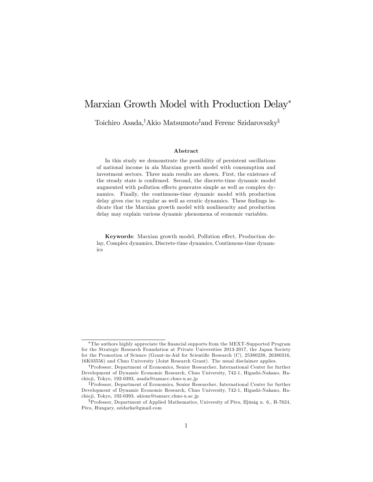# Marxian Growth Model with Production Delay\*

Toichiro Asada,<sup>†</sup>Akio Matsumoto<sup>‡</sup>and Ferenc Szidarovszky<sup>§</sup>

#### Abstract

In this study we demonstrate the possibility of persistent oscillations of national income in ala Marxian growth model with consumption and investment sectors. Three main results are shown. First, the existence of the steady state is confirmed. Second, the discrete-time dynamic model augmented with pollution effects generates simple as well as complex dynamics. Finally, the continuous-time dynamic model with production delay gives rise to regular as well as erratic dynamics. These findings indicate that the Marxian growth model with nonlinearity and production delay may explain various dynamic phenomena of economic variables.

Keywords: Marxian growth model, Pollution effect, Production delay, Complex dynamics, Discrete-time dynamics, Continuous-time dynamics

The authors highly appreciate the Önancial supports from the MEXT-Supported Program for the Strategic Research Foundation at Private Universities 2013-2017, the Japan Society for the Promotion of Science (Grant-in-Aid for Scientific Research (C), 25380238, 26380316, 16K03556) and Chuo University (Joint Research Grant). The usual disclaimer applies.

<sup>&</sup>lt;sup>†</sup>Professor, Department of Economics, Senior Researcher, International Center for further Development of Dynamic Economic Research, Chuo University, 742-1, Higashi-Nakano, Hachio ji, Tokyo, 192-0393, asada@tamacc.chuo-u.ac.jp

<sup>&</sup>lt;sup>‡</sup>Professor, Department of Economics, Senior Researcher, International Center for further Development of Dynamic Economic Research, Chuo University, 742-1, Higashi-Nakano, Hachio ji, Tokyo, 192-0393, akiom@tamacc.chuo-u.ac.jp

 $\S$ Professor, Department of Applied Mathematics, University of Pécs, Ifjúság u. 6., H-7624, PÈcs, Hungary, szidarka@gmail.com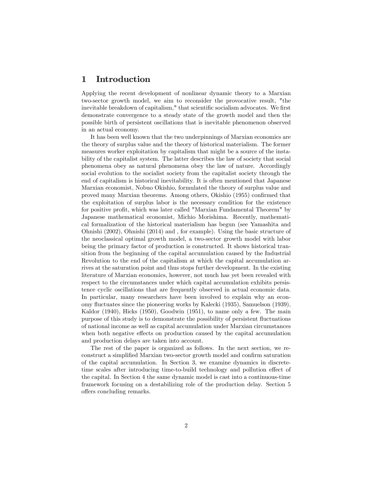### 1 Introduction

Applying the recent development of nonlinear dynamic theory to a Marxian two-sector growth model, we aim to reconsider the provocative result, "the inevitable breakdown of capitalism," that scientific socialism advocates. We first demonstrate convergence to a steady state of the growth model and then the possible birth of persistent oscillations that is inevitable phenomenon observed in an actual economy.

It has been well known that the two underpinnings of Marxian economics are the theory of surplus value and the theory of historical materialism. The former measures worker exploitation by capitalism that might be a source of the instability of the capitalist system. The latter describes the law of society that social phenomena obey as natural phenomena obey the law of nature. Accordingly social evolution to the socialist society from the capitalist society through the end of capitalism is historical inevitability. It is often mentioned that Japanese Marxian economist, Nobuo Okishio, formulated the theory of surplus value and proved many Marxian theorems. Among others, Okishio (1955) confirmed that the exploitation of surplus labor is the necessary condition for the existence for positive profit, which was later called "Marxian Fundamental Theorem" by Japanese mathematical economist, Michio Morishima. Recently, mathematical formalization of the historical materialism has begun (see Yamashita and Ohnishi (2002), Ohnishi (2014) and , for example). Using the basic structure of the neoclassical optimal growth model, a two-sector growth model with labor being the primary factor of production is constructed. It shows historical transition from the beginning of the capital accumulation caused by the Industrial Revolution to the end of the capitalism at which the capital accumulation arrives at the saturation point and thus stops further development. In the existing literature of Marxian economics, however, not much has yet been revealed with respect to the circumstances under which capital accumulation exhibits persistence cyclic oscillations that are frequently observed in actual economic data. In particular, many researchers have been involved to explain why an economy áuctuates since the pioneering works by Kalecki (1935), Samuelson (1939), Kaldor (1940), Hicks (1950), Goodwin (1951), to name only a few. The main purpose of this study is to demonstrate the possibility of persistent fluctuations of national income as well as capital accumulation under Marxian circumstances when both negative effects on production caused by the capital accumulation and production delays are taken into account.

The rest of the paper is organized as follows. In the next section, we reconstruct a simplified Marxian two-sector growth model and confirm saturation of the capital accumulation. In Section 3, we examine dynamics in discretetime scales after introducing time-to-build technology and pollution effect of the capital. In Section 4 the same dynamic model is cast into a continuous-time framework focusing on a destabilizing role of the production delay. Section 5 offers concluding remarks.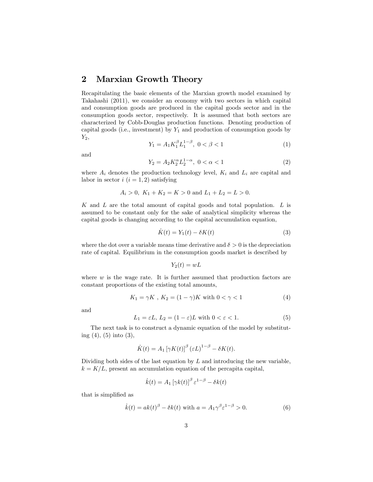### 2 Marxian Growth Theory

Recapitulating the basic elements of the Marxian growth model examined by Takahashi (2011), we consider an economy with two sectors in which capital and consumption goods are produced in the capital goods sector and in the consumption goods sector, respectively. It is assumed that both sectors are characterized by Cobb-Douglas production functions. Denoting production of capital goods (i.e., investment) by  $Y_1$  and production of consumption goods by  $Y_2$ 

$$
Y_1 = A_1 K_1^{\beta} L_1^{1-\beta}, \ 0 < \beta < 1 \tag{1}
$$

and

$$
Y_2 = A_2 K_2^{\alpha} L_2^{1-\alpha}, \ 0 < \alpha < 1 \tag{2}
$$

where  $A_i$  denotes the production technology level,  $K_i$  and  $L_i$  are capital and labor in sector  $i$   $(i = 1, 2)$  satisfying

$$
A_i > 0
$$
,  $K_1 + K_2 = K > 0$  and  $L_1 + L_2 = L > 0$ .

K and L are the total amount of capital goods and total population. L is assumed to be constant only for the sake of analytical simplicity whereas the capital goods is changing according to the capital accumulation equation,

$$
\dot{K}(t) = Y_1(t) - \delta K(t) \tag{3}
$$

where the dot over a variable means time derivative and  $\delta > 0$  is the depreciation rate of capital. Equilibrium in the consumption goods market is described by

$$
Y_2(t) = wL
$$

where  $w$  is the wage rate. It is further assumed that production factors are constant proportions of the existing total amounts,

$$
K_1 = \gamma K \, , \, K_2 = (1 - \gamma)K \text{ with } 0 < \gamma < 1 \tag{4}
$$

and

$$
L_1 = \varepsilon L, L_2 = (1 - \varepsilon)L \text{ with } 0 < \varepsilon < 1. \tag{5}
$$

The next task is to construct a dynamic equation of the model by substituting  $(4)$ ,  $(5)$  into  $(3)$ ,

$$
\dot{K}(t) = A_1 \left[ \gamma K(t) \right]^{\beta} \left( \varepsilon L \right)^{1-\beta} - \delta K(t).
$$

Dividing both sides of the last equation by  $L$  and introducing the new variable,  $k = K/L$ , present an accumulation equation of the percapita capital,

$$
\dot{k}(t) = A_1 \left[ \gamma k(t) \right]^{\beta} \varepsilon^{1-\beta} - \delta k(t)
$$

that is simplified as

$$
\dot{k}(t) = ak(t)^{\beta} - \delta k(t) \text{ with } a = A_1 \gamma^{\beta} \varepsilon^{1-\beta} > 0.
$$
 (6)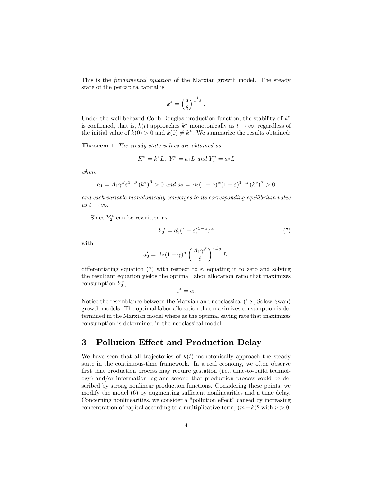This is the fundamental equation of the Marxian growth model. The steady state of the percapita capital is

$$
k^* = \left(\frac{a}{\delta}\right)^{\frac{1}{1-\beta}}.
$$

Under the well-behaved Cobb-Douglas production function, the stability of  $k^*$ is confirmed, that is,  $k(t)$  approaches  $k^*$  monotonically as  $t \to \infty$ , regardless of the initial value of  $k(0) > 0$  and  $k(0) \neq k^*$ . We summarize the results obtained:

**Theorem 1** The steady state values are obtained as

$$
K^* = k^*L, \ Y_1^* = a_1L \ and \ Y_2^* = a_2L
$$

where

$$
a_1 = A_1 \gamma^{\beta} \varepsilon^{1-\beta} (k^*)^{\beta} > 0
$$
 and  $a_2 = A_2 (1-\gamma)^{\alpha} (1-\varepsilon)^{1-\alpha} (k^*)^{\alpha} > 0$ 

and each variable monotonically converges to its corresponding equilibrium value as  $t \to \infty$ .

Since  $Y_2^*$  can be rewritten as

$$
Y_2^* = a_2'(1 - \varepsilon)^{1 - \alpha} \varepsilon^{\alpha} \tag{7}
$$

with

$$
a_2'=A_2(1-\gamma)^\alpha\left(\frac{A_1\gamma^\beta}{\delta}\right)^{\frac{a}{1-\beta}}L,
$$

differentiating equation (7) with respect to  $\varepsilon$ , equating it to zero and solving the resultant equation yields the optimal labor allocation ratio that maximizes consumption  $Y_2^*$ ,

 $\varepsilon^* = \alpha.$ 

Notice the resemblance between the Marxian and neoclassical (i.e., Solow-Swan) growth models. The optimal labor allocation that maximizes consumption is determined in the Marxian model where as the optimal saving rate that maximizes consumption is determined in the neoclassical model.

#### 3 Pollution Effect and Production Delay

We have seen that all trajectories of  $k(t)$  monotonically approach the steady state in the continuous-time framework. In a real economy, we often observe first that production process may require gestation (i.e., time-to-build technology) and/or information lag and second that production process could be described by strong nonlinear production functions. Considering these points, we modify the model  $(6)$  by augmenting sufficient nonlinearities and a time delay. Concerning nonlinearities, we consider a "pollution effect" caused by increasing concentration of capital according to a multiplicative term,  $(m-k)^{\eta}$  with  $\eta > 0$ .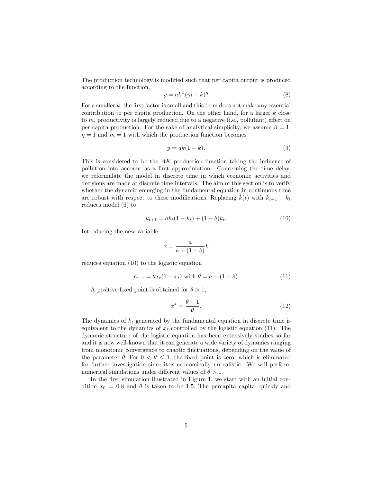The production technology is modified such that per capita output is produced according to the function,

$$
y = ak^{\beta}(m-k)^{\eta}
$$
 (8)

For a smaller  $k$ , the first factor is small and this term does not make any essential contribution to per capita production. On the other hand, for a larger  $k$  close to  $m$ , productivity is largely reduced due to a negative (i.e., pollutant) effect on per capita production. For the sake of analytical simplicity, we assume  $\beta = 1$ ,  $\eta = 1$  and  $m = 1$  with which the production function becomes

$$
y = ak(1 - k). \tag{9}
$$

This is considered to be the  $AK$  production function taking the influence of pollution into account as a first approximation. Concerning the time delay, we reformulate the model in discrete time in which economic activities and decisions are made at discrete time intervals. The aim of this section is to verify whether the dynamic emerging in the fundamental equation in continuous time are robust with respect to these modifications. Replacing  $k(t)$  with  $k_{t+1} - k_t$ reduces model (6) to

$$
k_{t+1} = ak_t(1 - k_t) + (1 - \delta)k_t.
$$
\n(10)

Introducing the new variable

$$
x = \frac{a}{a + (1 - \delta)}k
$$

reduces equation (10) to the logistic equation

$$
x_{t+1} = \theta x_t (1 - x_t) \text{ with } \theta = a + (1 - \delta). \tag{11}
$$

A positive fixed point is obtained for  $\theta > 1$ ,

$$
x^* = \frac{\theta - 1}{\theta}.\tag{12}
$$

The dynamics of  $k_t$  generated by the fundamental equation in discrete time is equivalent to the dynamics of  $x_t$  controlled by the logistic equation (11). The dynamic structure of the logistic equation has been extensively studies so far and it is now well-known that it can generate a wide variety of dynamics ranging from monotonic convergence to chaotic fluctuations, depending on the value of the parameter  $\theta$ . For  $0 < \theta \leq 1$ , the fixed point is zero, which is eliminated for further investigation since it is economically unrealistic. We will perform numerical simulations under different values of  $\theta > 1$ .

In the first simulation illustrated in Figure 1, we start with an initial condition  $x_0 = 0.8$  and  $\theta$  is taken to be 1.5. The percapita capital quickly and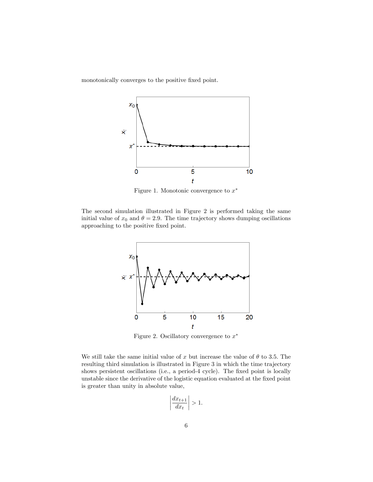monotonically converges to the positive fixed point.



Figure 1. Monotonic convergence to  $x^*$ 

The second simulation illustrated in Figure 2 is performed taking the same initial value of  $x_0$  and  $\theta = 2.9$ . The time trajectory shows dumping oscillations approaching to the positive fixed point.



Figure 2. Oscillatory convergence to  $x^*$ 

We still take the same initial value of x but increase the value of  $\theta$  to 3.5. The resulting third simulation is illustrated in Figure 3 in which the time trajectory shows persistent oscillations (i.e., a period-4 cycle). The fixed point is locally unstable since the derivative of the logistic equation evaluated at the Öxed point is greater than unity in absolute value,

$$
\left|\frac{dx_{t+1}}{dx_t}\right| > 1.
$$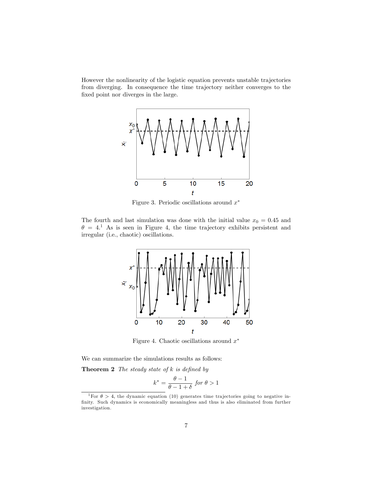However the nonlinearity of the logistic equation prevents unstable trajectories from diverging. In consequence the time trajectory neither converges to the fixed point nor diverges in the large.



Figure 3. Periodic oscillations around  $x^*$ 

The fourth and last simulation was done with the initial value  $x_0 = 0.45$  and  $\theta = 4$ <sup>1</sup>. As is seen in Figure 4, the time trajectory exhibits persistent and irregular (i.e., chaotic) oscillations.



Figure 4. Chaotic oscillations around  $x^*$ 

We can summarize the simulations results as follows:

**Theorem 2** The steady state of  $k$  is defined by

$$
k^* = \frac{\theta - 1}{\theta - 1 + \delta} \text{ for } \theta > 1
$$

<sup>&</sup>lt;sup>1</sup>For  $\theta > 4$ , the dynamic equation (10) generates time trajectories going to negative infinity. Such dynamics is economically meaningless and thus is also eliminated from further investigation.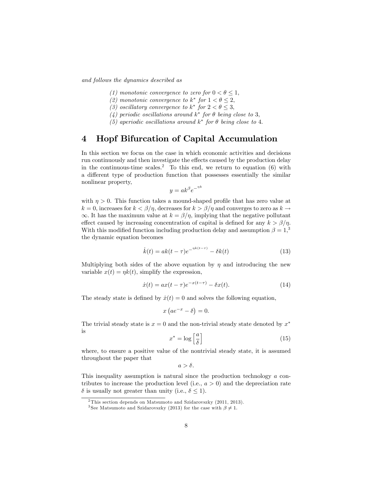and follows the dynamics described as

- (1) monotonic convergence to zero for  $0 < \theta < 1$ ,
- (2) monotonic convergence to  $k^*$  for  $1 < \theta \leq 2$ ,
- (3) oscillatory convergence to  $k^*$  for  $2 < \theta \leq 3$ ,
- (4) periodic oscillations around  $k^*$  for  $\theta$  being close to 3,
- (5) aperiodic oscillations around  $k^*$  for  $\theta$  being close to 4.

### 4 Hopf Bifurcation of Capital Accumulation

In this section we focus on the case in which economic activities and decisions run continuously and then investigate the effects caused by the production delay in the continuous-time scales.<sup>2</sup> To this end, we return to equation  $(6)$  with a different type of production function that possesses essentially the similar nonlinear property,

$$
y = ak^{\beta}e^{-nk}
$$

with  $\eta > 0$ . This function takes a mound-shaped profile that has zero value at  $k = 0$ , increases for  $k < \beta/\eta$ , decreases for  $k > \beta/\eta$  and converges to zero as  $k \to \infty$  $\infty$ . It has the maximum value at  $k = \beta/\eta$ , implying that the negative pollutant effect caused by increasing concentration of capital is defined for any  $k > \beta/n$ . With this modified function including production delay and assumption  $\beta = 1$ ,<sup>3</sup> the dynamic equation becomes

$$
\dot{k}(t) = ak(t - \tau)e^{-\eta k(t - \tau)} - \delta k(t) \tag{13}
$$

Multiplying both sides of the above equation by  $\eta$  and introducing the new variable  $x(t) = \eta k(t)$ , simplify the expression,

$$
\dot{x}(t) = ax(t - \tau)e^{-x(t - \tau)} - \delta x(t).
$$
 (14)

The steady state is defined by  $\dot{x}(t) = 0$  and solves the following equation,

$$
x\left(ae^{-x}-\delta\right)=0.
$$

The trivial steady state is  $x = 0$  and the non-trivial steady state denoted by  $x^*$ is

$$
x^* = \log\left[\frac{a}{\delta}\right] \tag{15}
$$

where, to ensure a positive value of the nontrivial steady state, it is assumed throughout the paper that

 $a > \delta.$ 

This inequality assumption is natural since the production technology a contributes to increase the production level (i.e.,  $a > 0$ ) and the depreciation rate  $\delta$  is usually not greater than unity (i.e.,  $\delta \leq 1$ ).

 $2$ This section depends on Matsumoto and Szidarovszky (2011, 2013).

<sup>&</sup>lt;sup>3</sup>See Matsumoto and Szidarovszky (2013) for the case with  $\beta \neq 1$ .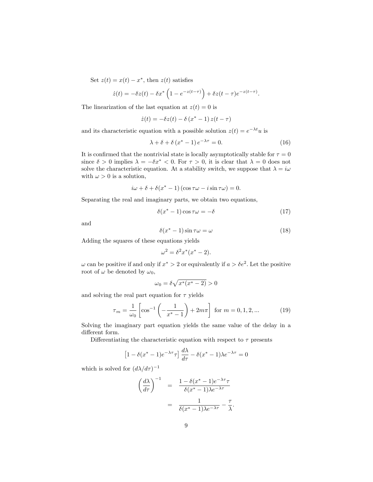Set  $z(t) = x(t) - x^*$ , then  $z(t)$  satisfies

$$
\dot{z}(t) = -\delta z(t) - \delta x^* \left( 1 - e^{-z(t-\tau)} \right) + \delta z(t-\tau) e^{-z(t-\tau)}.
$$

The linearization of the last equation at  $z(t) = 0$  is

$$
\dot{z}(t) = -\delta z(t) - \delta (x^* - 1) z(t - \tau)
$$

and its characteristic equation with a possible solution  $z(t) = e^{-\lambda t}u$  is

$$
\lambda + \delta + \delta \left( x^* - 1 \right) e^{-\lambda \tau} = 0. \tag{16}
$$

It is confirmed that the nontrivial state is locally asymptotically stable for  $\tau = 0$ since  $\delta > 0$  implies  $\lambda = -\delta x^* < 0$ . For  $\tau > 0$ , it is clear that  $\lambda = 0$  does not solve the characteristic equation. At a stability switch, we suppose that  $\lambda = i\omega$ with  $\omega > 0$  is a solution,

$$
i\omega + \delta + \delta(x^* - 1) (\cos \tau \omega - i \sin \tau \omega) = 0.
$$

Separating the real and imaginary parts, we obtain two equations,

$$
\delta(x^* - 1)\cos \tau \omega = -\delta \tag{17}
$$

and

$$
\delta(x^* - 1)\sin \tau \omega = \omega \tag{18}
$$

Adding the squares of these equations yields

$$
\omega^2 = \delta^2 x^*(x^* - 2).
$$

 $\omega$  can be positive if and only if  $x^* > 2$  or equivalently if  $a > \delta e^2$ . Let the positive root of  $\omega$  be denoted by  $\omega_0$ ,

$$
\omega_0 = \delta \sqrt{x^*(x^*-2)} > 0
$$

and solving the real part equation for  $\tau$  yields

$$
\tau_m = \frac{1}{\omega_0} \left[ \cos^{-1} \left( -\frac{1}{x^* - 1} \right) + 2m\pi \right] \text{ for } m = 0, 1, 2, \dots \tag{19}
$$

Solving the imaginary part equation yields the same value of the delay in a different form.

Differentiating the characteristic equation with respect to  $\tau$  presents

$$
\[1 - \delta(x^* - 1)e^{-\lambda \tau}\tau\]\frac{d\lambda}{d\tau} - \delta(x^* - 1)\lambda e^{-\lambda \tau} = 0\]
$$

which is solved for  $(d\lambda/d\tau)^{-1}$ 

$$
\left(\frac{d\lambda}{d\tau}\right)^{-1} = \frac{1 - \delta(x^* - 1)e^{-\lambda\tau}\tau}{\delta(x^* - 1)\lambda e^{-\lambda\tau}}
$$

$$
= \frac{1}{\delta(x^* - 1)\lambda e^{-\lambda\tau}} - \frac{\tau}{\lambda}.
$$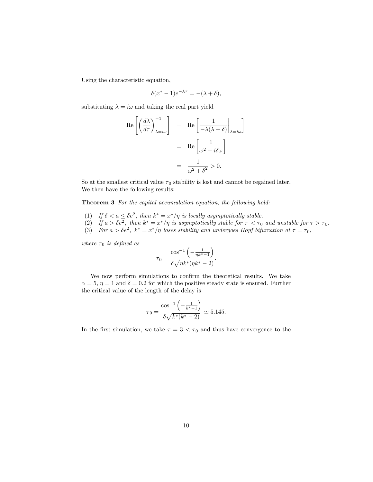Using the characteristic equation,

$$
\delta(x^* - 1)e^{-\lambda \tau} = -(\lambda + \delta),
$$

substituting  $\lambda = i\omega$  and taking the real part yield

$$
\begin{aligned} \text{Re}\left[\left(\frac{d\lambda}{d\tau}\right)_{\lambda=i\omega}^{-1}\right] &= \left[\text{Re}\left[\frac{1}{-\lambda(\lambda+\delta)}\Big|_{\lambda=i\omega}\right] \\ &= \left[\text{Re}\left[\frac{1}{\omega^2-i\delta\omega}\right] \right] \\ &= \frac{1}{\omega^2+\delta^2} > 0. \end{aligned}
$$

So at the smallest critical value  $\tau_0$  stability is lost and cannot be regained later. We then have the following results:

Theorem 3 For the capital accumulation equation, the following hold:

- (1) If  $\delta < a \leq \delta e^2$ , then  $k^* = x^* / \eta$  is locally asymptotically stable.
- (2) If  $a > \delta e^2$ , then  $k^* = x^* / \eta$  is asymptotically stable for  $\tau < \tau_0$  and unstable for  $\tau > \tau_0$ .
- (3) For  $a > \delta e^2$ ,  $k^* = x^* / \eta$  loses stability and undergoes Hopf bifurcation at  $\tau = \tau_0$ ,

where  $\tau_0$  is defined as

$$
\tau_0=\frac{\cos^{-1}\left(-\frac{1}{\eta k^*-1}\right)}{\delta\sqrt{\eta k^*(\eta k^*-2)}}.
$$

We now perform simulations to confirm the theoretical results. We take  $\alpha = 5$ ,  $\eta = 1$  and  $\delta = 0.2$  for which the positive steady state is ensured. Further the critical value of the length of the delay is

$$
\tau_0 = \frac{\cos^{-1}\left(-\frac{1}{k^*-1}\right)}{\delta\sqrt{k^*(k^*-2)}} \simeq 5.145.
$$

In the first simulation, we take  $\tau = 3 < \tau_0$  and thus have convergence to the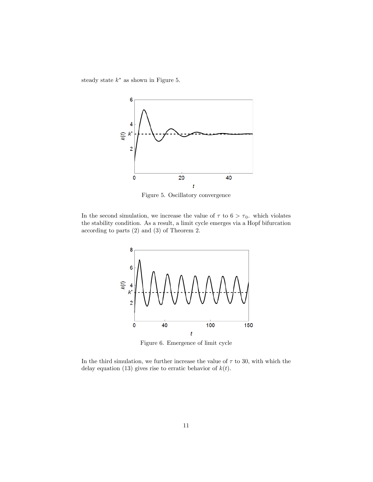steady state  $k^*$  as shown in Figure 5.



Figure 5. Oscillatory convergence

In the second simulation, we increase the value of  $\tau$  to  $6 > \tau_0$ . which violates the stability condition. As a result, a limit cycle emerges via a Hopf bifurcation according to parts (2) and (3) of Theorem 2.



Figure 6. Emergence of limit cycle

In the third simulation, we further increase the value of  $\tau$  to 30, with which the delay equation (13) gives rise to erratic behavior of  $k(t)$ .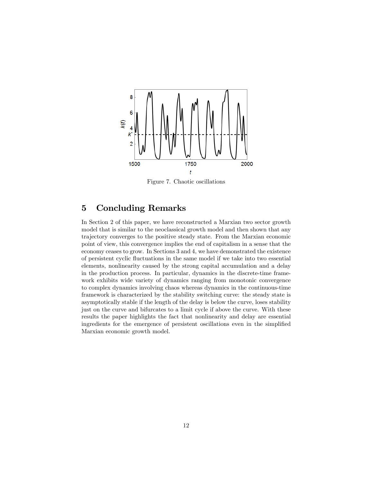

Figure 7. Chaotic oscillations

## 5 Concluding Remarks

In Section 2 of this paper, we have reconstructed a Marxian two sector growth model that is similar to the neoclassical growth model and then shown that any trajectory converges to the positive steady state. From the Marxian economic point of view, this convergence implies the end of capitalism in a sense that the economy ceases to grow. In Sections 3 and 4, we have demonstrated the existence of persistent cyclic áuctuations in the same model if we take into two essential elements, nonlinearity caused by the strong capital accumulation and a delay in the production process. In particular, dynamics in the discrete-time framework exhibits wide variety of dynamics ranging from monotonic convergence to complex dynamics involving chaos whereas dynamics in the continuous-time framework is characterized by the stability switching curve: the steady state is asymptotically stable if the length of the delay is below the curve, loses stability just on the curve and bifurcates to a limit cycle if above the curve. With these results the paper highlights the fact that nonlinearity and delay are essential ingredients for the emergence of persistent oscillations even in the simplified Marxian economic growth model.